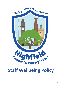

# **Staff Wellbeing Policy**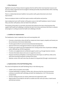## **1. Policy Statement**

Highfield Community Primary School recognises that the staff are their most important resource and are to be valued, supported and encouraged to develop personally and professionally within a learning and caring community.

There is a relationship between healthier more positive staff, pupil achievement and school improvement.

There are employer duties to staff that require sensitive staff policies and practice.

Upon employment each staff member will be given access to the Staff Handbook, Code of Conduct Policy and other staff policies which are held in the staffroom.

The purpose of this policy is to provide a document that embraces the many school practices that support staff health and wellbeing, to minimise the harm from stress and ensure that there is cohesion and progress in working towards the health and wellbeing of all staff.

## **2. Guidelines for Implementation**

The Headteacher, Senior Leadership Team and Governing Body will:-

- Promote a school ethos where all staff are valued and where respect, empathy and honesty are the cornerstones of all school relationships.
- Provide opportunities for personal and professional development.
- Operate Performance Management linked to clear job specifications.
- Provide extra support from the Headteacher & SLT during certain times of particular challenge and/ or difficulty e.g. OFSTED Inspections.
- Provide a non-judgmental and confidential support system e.g. through induction mentors.
- Promote information about and access to supportive services.
- Respond sensitively and flexibly to external pressures that impact on staff lives whilst at the same time ensuring the efficient running of the school.
- Maintain contact with staff when they are absent for long periods (through a named person).

#### **3. Implementation of the Staff Well-Being Policy**

The school will implement the Staff Well-Being Policy in the following ways.

- Leaders will act as positive role models.
- A named Well-being Co-ordinator, Andrea Jolly, will ensure that the school environment continues to promote staff well-being, and alert the Headteacher or SLT if this becomes compromised.
- Decision making processes are clearly understood and supported by staff.
- Opportunities are provided for all staff to socialise and relax with each other, in both formal and informal contexts.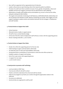- New staff are supported with an appropriate level of induction.
- Leaders will promote an open listening culture that responds quickly to problems.
- Provision of a staff room that is sensitive to issues of race, gender, homophobia, culture and disability and free from negative comments that are detrimental to staff wellbeing.
- Maintenance of quality staff facilities and accommodation e.g. access to free tea and coffee, adequate seating and toilet facilities.
- The regular and systematic monitoring of staff absences, staff/children/family relationships and the recruitment and retention of staff. Absence monitoring can include, when triggers are met, support meetings to explore actions and solutions between the line manager or Headteacher and staff member.

## **4. Practical Actions to Support New Staff:**

- School Induction
- Allocated mentor, buddy or support person
- All staff to have a named identity badge.
- At the end of the first week of employment staff will have a review with the supporting person.
- Review meetings held after 2, 4 & 6 months.

#### **5. Practical Actions to Support New Roles:**

- Decide who will be the supporting person for the new role.
- Initial meetings to agree a job description will be held.
- An initial discussion of roles and responsibilities will be held.
- Introduction/visits to school/class or environment in which the role will be carried out.
- Establish a pattern of support and training.
- End of first week review with supporting person.
- 1:1 support for new tasks.
- 2, 4 & 6 month reviews

#### **6. Good practice to promote staff well-being:**

- Lunch provided on INSET days
- Free tea and coffee for all staff in school
- Positive comments made about the school and staff are shared.
- Staff are encouraged to say thank you to others through the appreciation station in the staffroom
- Successes are celebrated.
- Social activities are organised for staff by staff.